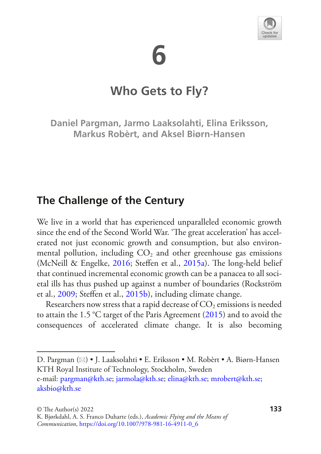



## **Who Gets to Fly?**

**Daniel Pargman, Jarmo Laaksolahti, Elina Eriksson, Markus Robèrt, and Aksel Biørn-Hansen**

### **The Challenge of the Century**

We live in a world that has experienced unparalleled economic growth since the end of the Second World War. 'The great acceleration' has accelerated not just economic growth and consumption, but also environmental pollution, including  $CO<sub>2</sub>$  and other greenhouse gas emissions (McNeill & Engelke, [2016](#page-24-0); Steffen et al., [2015a\)](#page-24-1). The long-held belief that continued incremental economic growth can be a panacea to all societal ills has thus pushed up against a number of boundaries (Rockström et al., [2009](#page-24-2); Stefen et al., [2015b](#page-24-3)), including climate change.

Researchers now stress that a rapid decrease of  $CO<sub>2</sub>$  emissions is needed to attain the 1.5 °C target of the Paris Agreement [\(2015](#page-24-4)) and to avoid the consequences of accelerated climate change. It is also becoming

D. Pargman ( $\boxtimes$ ) • J. Laaksolahti • E. Eriksson • M. Robèrt • A. Biørn-Hansen KTH Royal Institute of Technology, Stockholm, Sweden

e-mail[: pargman@kth.se](mailto:pargman@kth.se)[; jarmola@kth.se](mailto:jarmola@kth.se); [elina@kth.se](mailto:elina@kth.se)[; mrobert@kth.se;](mailto:mrobert@kth.se) [aksbio@kth.se](mailto:aksbio@kth.se)

K. Bjørkdahl, A. S. Franco Duharte (eds.), *Academic Flying and the Means of Communication*, [https://doi.org/10.1007/978-981-16-4911-0\\_6](https://doi.org/10.1007/978-981-16-4911-0_6#DOI)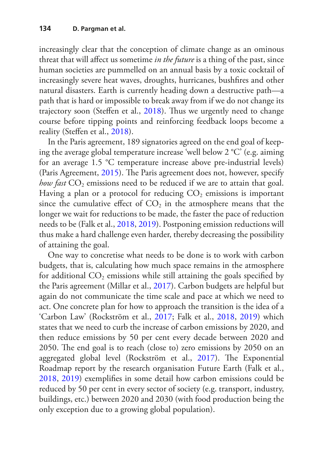increasingly clear that the conception of climate change as an ominous threat that will afect us sometime *in the future* is a thing of the past, since human societies are pummelled on an annual basis by a toxic cocktail of increasingly severe heat waves, droughts, hurricanes, bushfres and other natural disasters. Earth is currently heading down a destructive path—a path that is hard or impossible to break away from if we do not change its trajectory soon (Steffen et al., [2018\)](#page-24-5). Thus we urgently need to change course before tipping points and reinforcing feedback loops become a reality (Stefen et al., [2018](#page-24-5)).

In the Paris agreement, 189 signatories agreed on the end goal of keeping the average global temperature increase 'well below 2 °C' (e.g. aiming for an average 1.5 °C temperature increase above pre-industrial levels) (Paris Agreement, [2015](#page-24-4)). The Paris agreement does not, however, specify *how fast*  $CO_2$  emissions need to be reduced if we are to attain that goal. Having a plan or a protocol for reducing  $CO<sub>2</sub>$  emissions is important since the cumulative effect of  $CO<sub>2</sub>$  in the atmosphere means that the longer we wait for reductions to be made, the faster the pace of reduction needs to be (Falk et al., [2018,](#page-22-0) [2019](#page-22-1)). Postponing emission reductions will thus make a hard challenge even harder, thereby decreasing the possibility of attaining the goal.

One way to concretise what needs to be done is to work with carbon budgets, that is, calculating how much space remains in the atmosphere for additional  $CO_2$  emissions while still attaining the goals specified by the Paris agreement (Millar et al., [2017\)](#page-24-6). Carbon budgets are helpful but again do not communicate the time scale and pace at which we need to act. One concrete plan for how to approach the transition is the idea of a 'Carbon Law' (Rockström et al., [2017](#page-24-7); Falk et al., [2018,](#page-22-0) [2019\)](#page-22-1) which states that we need to curb the increase of carbon emissions by 2020, and then reduce emissions by 50 per cent every decade between 2020 and 2050. The end goal is to reach (close to) zero emissions by 2050 on an aggregated global level (Rockström et al., [2017](#page-24-7)). The Exponential Roadmap report by the research organisation Future Earth (Falk et al., [2018](#page-22-0), [2019](#page-22-1)) exemplifes in some detail how carbon emissions could be reduced by 50 per cent in every sector of society (e.g. transport, industry, buildings, etc.) between 2020 and 2030 (with food production being the only exception due to a growing global population).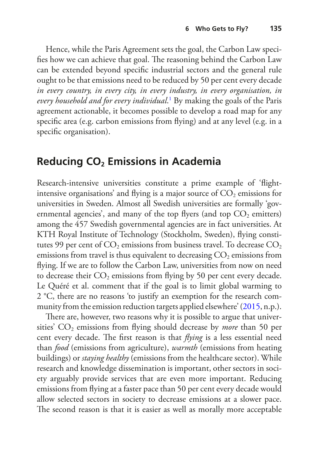Hence, while the Paris Agreement sets the goal, the Carbon Law specifies how we can achieve that goal. The reasoning behind the Carbon Law can be extended beyond specifc industrial sectors and the general rule ought to be that emissions need to be reduced by 50 per cent every decade *in every country, in every city, in every industry, in every organisation, in every household and for every individual*. [1](#page-20-0) By making the goals of the Paris agreement actionable, it becomes possible to develop a road map for any specifc area (e.g. carbon emissions from fying) and at any level (e.g. in a specifc organisation).

### **Reducing CO<sub>2</sub> Emissions in Academia**

Research-intensive universities constitute a prime example of 'fightintensive organisations' and flying is a major source of  $CO<sub>2</sub>$  emissions for universities in Sweden. Almost all Swedish universities are formally 'governmental agencies', and many of the top flyers (and top  $CO<sub>2</sub>$  emitters) among the 457 Swedish governmental agencies are in fact universities. At KTH Royal Institute of Technology (Stockholm, Sweden), fying constitutes 99 per cent of  $CO_2$  emissions from business travel. To decrease  $CO_2$ emissions from travel is thus equivalent to decreasing  $CO<sub>2</sub>$  emissions from fying. If we are to follow the Carbon Law, universities from now on need to decrease their  $CO_2$  emissions from flying by 50 per cent every decade. Le Quéré et al. comment that if the goal is to limit global warming to 2 °C, there are no reasons 'to justify an exemption for the research community from the emission reduction targets applied elsewhere' ([2015](#page-23-0), n.p.).

There are, however, two reasons why it is possible to argue that universities'  $CO<sub>2</sub>$  emissions from flying should decrease by *more* than 50 per cent every decade. The first reason is that *flying* is a less essential need than *food* (emissions from agriculture), *warmth* (emissions from heating buildings) or *staying healthy* (emissions from the healthcare sector). While research and knowledge dissemination is important, other sectors in society arguably provide services that are even more important. Reducing emissions from fying at a faster pace than 50 per cent every decade would allow selected sectors in society to decrease emissions at a slower pace. The second reason is that it is easier as well as morally more acceptable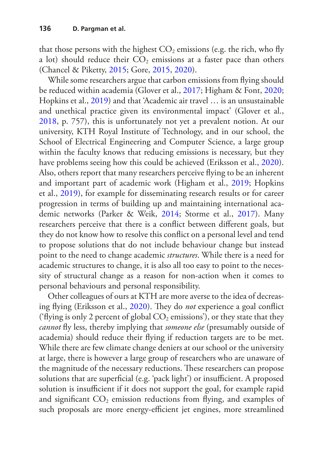that those persons with the highest  $CO<sub>2</sub>$  emissions (e.g. the rich, who fly a lot) should reduce their  $CO<sub>2</sub>$  emissions at a faster pace than others (Chancel & Piketty, [2015;](#page-22-2) Gore, [2015](#page-23-1), [2020](#page-23-2)).

While some researchers argue that carbon emissions from fying should be reduced within academia (Glover et al., [2017](#page-22-3); Higham & Font, [2020](#page-23-3); Hopkins et al., [2019\)](#page-23-4) and that 'Academic air travel … is an unsustainable and unethical practice given its environmental impact' (Glover et al., [2018](#page-23-5), p. 757), this is unfortunately not yet a prevalent notion. At our university, KTH Royal Institute of Technology, and in our school, the School of Electrical Engineering and Computer Science, a large group within the faculty knows that reducing emissions is necessary, but they have problems seeing how this could be achieved (Eriksson et al., [2020\)](#page-22-4). Also, others report that many researchers perceive fying to be an inherent and important part of academic work (Higham et al., [2019;](#page-23-6) Hopkins et al., [2019\)](#page-23-4), for example for disseminating research results or for career progression in terms of building up and maintaining international academic networks (Parker & Weik, [2014](#page-24-8); Storme et al., [2017\)](#page-24-9). Many researchers perceive that there is a confict between diferent goals, but they do not know how to resolve this confict on a personal level and tend to propose solutions that do not include behaviour change but instead point to the need to change academic *structures*. While there is a need for academic structures to change, it is also all too easy to point to the necessity of structural change as a reason for non-action when it comes to personal behaviours and personal responsibility.

Other colleagues of ours at KTH are more averse to the idea of decreas-ing flying (Eriksson et al., [2020\)](#page-22-4). They do *not* experience a goal conflict ('flying is only 2 percent of global  $CO<sub>2</sub>$  emissions'), or they state that they *cannot* fy less, thereby implying that *someone else* (presumably outside of academia) should reduce their fying if reduction targets are to be met. While there are few climate change deniers at our school or the university at large, there is however a large group of researchers who are unaware of the magnitude of the necessary reductions. These researchers can propose solutions that are superficial (e.g. 'pack light') or insufficient. A proposed solution is insufficient if it does not support the goal, for example rapid and significant  $CO_2$  emission reductions from flying, and examples of such proposals are more energy-efficient jet engines, more streamlined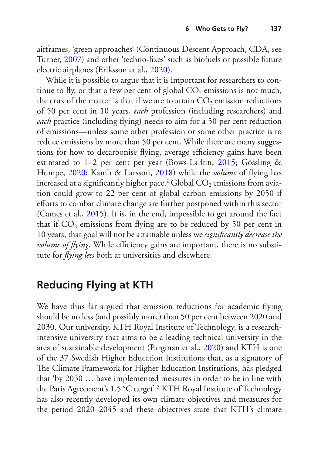airframes, 'green approaches' (Continuous Descent Approach, CDA, see Turner, [2007\)](#page-25-0) and other 'techno-fxes' such as biofuels or possible future electric airplanes (Eriksson et al., [2020](#page-22-4)).

While it is possible to argue that it is important for researchers to continue to fly, or that a few per cent of global  $CO<sub>2</sub>$  emissions is not much, the crux of the matter is that if we are to attain  $CO<sub>2</sub>$  emission reductions of 50 per cent in 10 years, *each* profession (including researchers) and *each* practice (including fying) needs to aim for a 50 per cent reduction of emissions—unless some other profession or some other practice is to reduce emissions by more than 50 per cent. While there are many suggestions for how to decarbonise flying, average efficiency gains have been estimated to 1–2 per cent per year (Bows-Larkin, [2015;](#page-22-5) Gössling & Humpe, [2020](#page-23-7); Kamb & Larsson, [2018](#page-23-8)) while the *volume* of fying has increased at a significantly higher pace. $^2$  $^2$  Global CO<sub>2</sub> emissions from aviation could grow to 22 per cent of global carbon emissions by 2050 if eforts to combat climate change are further postponed within this sector (Cames et al., [2015\)](#page-22-6). It is, in the end, impossible to get around the fact that if  $CO<sub>2</sub>$  emissions from flying are to be reduced by 50 per cent in 10 years, that goal will not be attainable unless we *signifcantly decrease the volume of flying*. While efficiency gains are important, there is no substitute for *fying less* both at universities and elsewhere.

### **Reducing Flying at KTH**

We have thus far argued that emission reductions for academic flying should be no less (and possibly more) than 50 per cent between 2020 and 2030. Our university, KTH Royal Institute of Technology, is a researchintensive university that aims to be a leading technical university in the area of sustainable development (Pargman et al., [2020\)](#page-24-10) and KTH is one of the 37 Swedish Higher Education Institutions that, as a signatory of The Climate Framework for Higher Education Institutions, has pledged that 'by 2030 … have implemented measures in order to be in line with the Paris Agreement's 1.5 °C target'[.3](#page-20-2) KTH Royal Institute of Technology has also recently developed its own climate objectives and measures for the period 2020–2045 and these objectives state that KTH's climate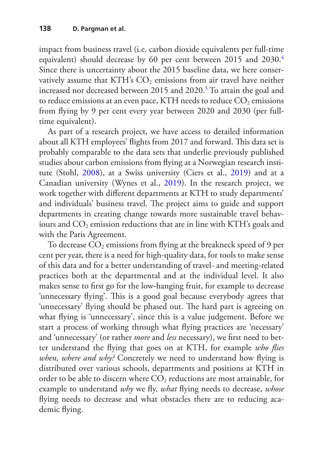impact from business travel (i.e. carbon dioxide equivalents per full-time equivalent) should decrease by 60 per cent between 2015 and 2030.<sup>[4](#page-20-3)</sup> Since there is uncertainty about the 2015 baseline data, we here conservatively assume that KTH's  $CO<sub>2</sub>$  emissions from air travel have neither increased nor decreased between 2015 and 2020[.5](#page-21-0) To attain the goal and to reduce emissions at an even pace, KTH needs to reduce  $CO<sub>2</sub>$  emissions from flying by 9 per cent every year between 2020 and 2030 (per fulltime equivalent).

As part of a research project, we have access to detailed information about all KTH employees' flights from 2017 and forward. This data set is probably comparable to the data sets that underlie previously published studies about carbon emissions from fying at a Norwegian research institute (Stohl, [2008\)](#page-24-11), at a Swiss university (Ciers et al., [2019](#page-22-7)) and at a Canadian university (Wynes et al., [2019](#page-25-1)). In the research project, we work together with diferent departments at KTH to study departments' and individuals' business travel. The project aims to guide and support departments in creating change towards more sustainable travel behaviours and CO<sub>2</sub> emission reductions that are in line with KTH's goals and with the Paris Agreement.

To decrease  $CO<sub>2</sub>$  emissions from flying at the breakneck speed of 9 per cent per year, there is a need for high-quality data, for tools to make sense of this data and for a better understanding of travel- and meeting-related practices both at the departmental and at the individual level. It also makes sense to frst go for the low-hanging fruit, for example to decrease 'unnecessary flying'. This is a good goal because everybody agrees that 'unnecessary' flying should be phased out. The hard part is agreeing on what fying is 'unnecessary', since this is a value judgement. Before we start a process of working through what fying practices are 'necessary' and 'unnecessary' (or rather *more* and *less* necessary), we frst need to better understand the fying that goes on at KTH, for example *who fies when, where and why?* Concretely we need to understand how fying is distributed over various schools, departments and positions at KTH in order to be able to discern where  $CO<sub>2</sub>$  reductions are most attainable, for example to understand *why* we fy, *what* fying needs to decrease, *whose* fying needs to decrease and what obstacles there are to reducing academic flying.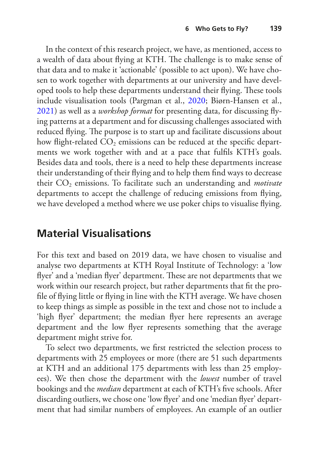In the context of this research project, we have, as mentioned, access to a wealth of data about flying at KTH. The challenge is to make sense of that data and to make it 'actionable' (possible to act upon). We have chosen to work together with departments at our university and have developed tools to help these departments understand their flying. These tools include visualisation tools (Pargman et al., [2020;](#page-24-10) Biørn-Hansen et al., [2021](#page-21-1)) as well as a *workshop format* for presenting data, for discussing fying patterns at a department and for discussing challenges associated with reduced flying. The purpose is to start up and facilitate discussions about how flight-related  $CO_2$  emissions can be reduced at the specific departments we work together with and at a pace that fulfls KTH's goals. Besides data and tools, there is a need to help these departments increase their understanding of their fying and to help them fnd ways to decrease their CO<sub>2</sub> emissions. To facilitate such an understanding and *motivate* departments to accept the challenge of reducing emissions from fying, we have developed a method where we use poker chips to visualise fying.

## **Material Visualisations**

For this text and based on 2019 data, we have chosen to visualise and analyse two departments at KTH Royal Institute of Technology: a 'low flyer' and a 'median flyer' department. These are not departments that we work within our research project, but rather departments that ft the profle of fying little or fying in line with the KTH average. We have chosen to keep things as simple as possible in the text and chose not to include a 'high fyer' department; the median fyer here represents an average department and the low fyer represents something that the average department might strive for.

To select two departments, we frst restricted the selection process to departments with 25 employees or more (there are 51 such departments at KTH and an additional 175 departments with less than 25 employees). We then chose the department with the *lowest* number of travel bookings and the *median* department at each of KTH's fve schools. After discarding outliers, we chose one 'low fyer' and one 'median fyer' department that had similar numbers of employees. An example of an outlier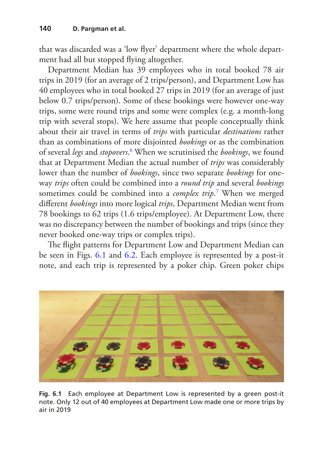that was discarded was a 'low fyer' department where the whole department had all but stopped fying altogether.

Department Median has 39 employees who in total booked 78 air trips in 2019 (for an average of 2 trips/person), and Department Low has 40 employees who in total booked 27 trips in 2019 (for an average of just below 0.7 trips/person). Some of these bookings were however one-way trips, some were round trips and some were complex (e.g. a month-long trip with several stops). We here assume that people conceptually think about their air travel in terms of *trips* with particular *destinations* rather than as combinations of more disjointed *bookings* or as the combination of several *legs* and *stopovers*. [6](#page-21-2) When we scrutinised the *bookings*, we found that at Department Median the actual number of *trips* was considerably lower than the number of *bookings*, since two separate *bookings* for oneway *trips* often could be combined into a *round trip* and several *bookings* sometimes could be combined into a *complex trip*. [7](#page-21-3) When we merged diferent *bookings* into more logical *trips*, Department Median went from 78 bookings to 62 trips (1.6 trips/employee). At Department Low, there was no discrepancy between the number of bookings and trips (since they never booked one-way trips or complex trips).

The flight patterns for Department Low and Department Median can be seen in Figs. [6.1](#page-7-0) and [6.2](#page-8-0). Each employee is represented by a post-it note, and each trip is represented by a poker chip. Green poker chips

<span id="page-7-0"></span>

**Fig. 6.1** Each employee at Department Low is represented by a green post-it note. Only 12 out of 40 employees at Department Low made one or more trips by air in 2019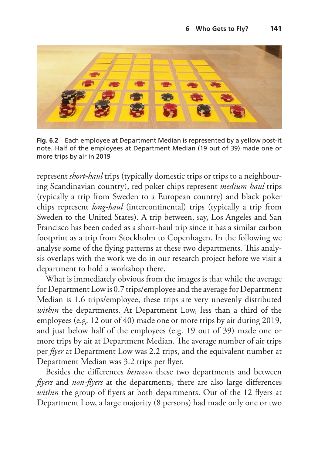<span id="page-8-0"></span>

**Fig. 6.2** Each employee at Department Median is represented by a yellow post-it note. Half of the employees at Department Median (19 out of 39) made one or more trips by air in 2019

represent *short-haul* trips (typically domestic trips or trips to a neighbouring Scandinavian country), red poker chips represent *medium-haul* trips (typically a trip from Sweden to a European country) and black poker chips represent *long-haul* (intercontinental) trips (typically a trip from Sweden to the United States). A trip between, say, Los Angeles and San Francisco has been coded as a short-haul trip since it has a similar carbon footprint as a trip from Stockholm to Copenhagen. In the following we analyse some of the flying patterns at these two departments. This analysis overlaps with the work we do in our research project before we visit a department to hold a workshop there.

What is immediately obvious from the images is that while the average for Department Low is 0.7 trips/employee and the average for Department Median is 1.6 trips/employee, these trips are very unevenly distributed *within* the departments. At Department Low, less than a third of the employees (e.g. 12 out of 40) made one or more trips by air during 2019, and just below half of the employees (e.g. 19 out of 39) made one or more trips by air at Department Median. The average number of air trips per *fyer* at Department Low was 2.2 trips, and the equivalent number at Department Median was 3.2 trips per fyer.

Besides the diferences *between* these two departments and between *fyers* and *non-fyers* at the departments, there are also large diferences *within* the group of flyers at both departments. Out of the 12 flyers at Department Low, a large majority (8 persons) had made only one or two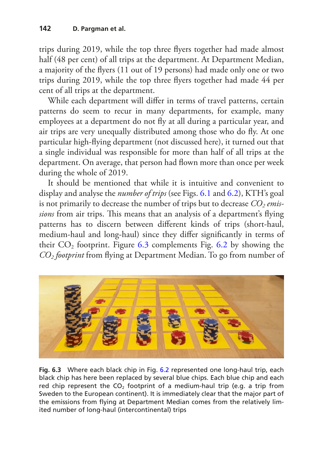trips during 2019, while the top three fyers together had made almost half (48 per cent) of all trips at the department. At Department Median, a majority of the fyers (11 out of 19 persons) had made only one or two trips during 2019, while the top three fyers together had made 44 per cent of all trips at the department.

While each department will difer in terms of travel patterns, certain patterns do seem to recur in many departments, for example, many employees at a department do not fy at all during a particular year, and air trips are very unequally distributed among those who do fy. At one particular high-fying department (not discussed here), it turned out that a single individual was responsible for more than half of all trips at the department. On average, that person had flown more than once per week during the whole of 2019.

It should be mentioned that while it is intuitive and convenient to display and analyse the *number of trips* (see Figs. [6.1](#page-7-0) and [6.2\)](#page-8-0), KTH's goal is not primarily to decrease the number of trips but to decrease  $CO<sub>2</sub>$  *emissions* from air trips. This means that an analysis of a department's flying patterns has to discern between diferent kinds of trips (short-haul, medium-haul and long-haul) since they difer signifcantly in terms of their  $CO<sub>2</sub>$  footprint. Figure [6.3](#page-9-0) complements Fig. [6.2](#page-8-0) by showing the *CO2 footprint* from fying at Department Median. To go from number of

<span id="page-9-0"></span>

**Fig. 6.3** Where each black chip in Fig. [6.2](#page-8-0) represented one long-haul trip, each black chip has here been replaced by several blue chips. Each blue chip and each red chip represent the  $CO<sub>2</sub>$  footprint of a medium-haul trip (e.g. a trip from Sweden to the European continent). It is immediately clear that the major part of the emissions from flying at Department Median comes from the relatively limited number of long-haul (intercontinental) trips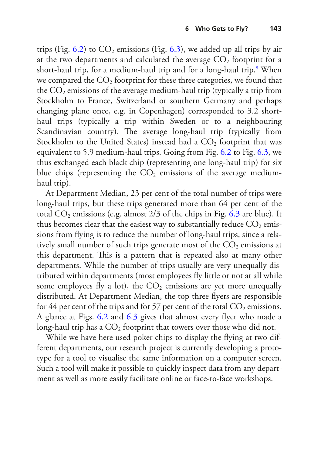trips (Fig. [6.2](#page-8-0)) to  $CO_2$  emissions (Fig. [6.3](#page-9-0)), we added up all trips by air at the two departments and calculated the average  $CO<sub>2</sub>$  footprint for a short-haul trip, for a medium-haul trip and for a long-haul trip[.8](#page-21-4) When we compared the  $CO<sub>2</sub>$  footprint for these three categories, we found that the  $CO<sub>2</sub>$  emissions of the average medium-haul trip (typically a trip from Stockholm to France, Switzerland or southern Germany and perhaps changing plane once, e.g. in Copenhagen) corresponded to 3.2 shorthaul trips (typically a trip within Sweden or to a neighbouring Scandinavian country). The average long-haul trip (typically from Stockholm to the United States) instead had a  $CO<sub>2</sub>$  footprint that was equivalent to 5.9 medium-haul trips. Going from Fig. [6.2](#page-8-0) to Fig. [6.3,](#page-9-0) we thus exchanged each black chip (representing one long-haul trip) for six blue chips (representing the  $CO<sub>2</sub>$  emissions of the average mediumhaul trip).

At Department Median, 23 per cent of the total number of trips were long-haul trips, but these trips generated more than 64 per cent of the total  $CO_2$  emissions (e.g. almost 2/3 of the chips in Fig. [6.3](#page-9-0) are blue). It thus becomes clear that the easiest way to substantially reduce  $CO<sub>2</sub>$  emissions from fying is to reduce the number of long-haul trips, since a relatively small number of such trips generate most of the  $CO<sub>2</sub>$  emissions at this department. This is a pattern that is repeated also at many other departments. While the number of trips usually are very unequally distributed within departments (most employees fy little or not at all while some employees fly a lot), the  $CO<sub>2</sub>$  emissions are yet more unequally distributed. At Department Median, the top three fyers are responsible for 44 per cent of the trips and for 57 per cent of the total  $CO_2$  emissions. A glance at Figs. [6.2](#page-8-0) and [6.3](#page-9-0) gives that almost every fyer who made a long-haul trip has a  $CO<sub>2</sub>$  footprint that towers over those who did not.

While we have here used poker chips to display the fying at two different departments, our research project is currently developing a prototype for a tool to visualise the same information on a computer screen. Such a tool will make it possible to quickly inspect data from any department as well as more easily facilitate online or face-to-face workshops.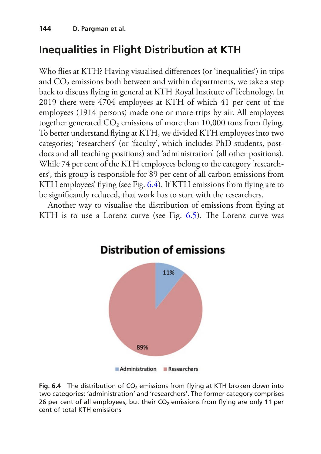# **Inequalities in Flight Distribution at KTH**

Who fies at KTH? Having visualised diferences (or 'inequalities') in trips and  $CO<sub>2</sub>$  emissions both between and within departments, we take a step back to discuss fying in general at KTH Royal Institute of Technology. In 2019 there were 4704 employees at KTH of which 41 per cent of the employees (1914 persons) made one or more trips by air. All employees together generated  $CO<sub>2</sub>$  emissions of more than 10,000 tons from flying. To better understand fying at KTH, we divided KTH employees into two categories; 'researchers' (or 'faculty', which includes PhD students, postdocs and all teaching positions) and 'administration' (all other positions). While 74 per cent of the KTH employees belong to the category 'researchers', this group is responsible for 89 per cent of all carbon emissions from KTH employees' fying (see Fig. [6.4\)](#page-11-0). If KTH emissions from fying are to be signifcantly reduced, that work has to start with the researchers.

<span id="page-11-0"></span>Another way to visualise the distribution of emissions from fying at KTH is to use a Lorenz curve (see Fig.  $6.5$ ). The Lorenz curve was



#### **Fig. 6.4** The distribution of CO<sub>2</sub> emissions from flying at KTH broken down into two categories: 'administration' and 'researchers'. The former category comprises 26 per cent of all employees, but their  $CO<sub>2</sub>$  emissions from flying are only 11 per cent of total KTH emissions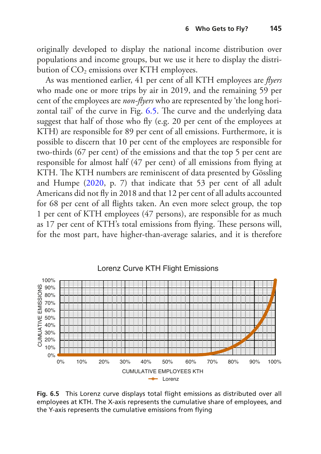originally developed to display the national income distribution over populations and income groups, but we use it here to display the distribution of  $CO<sub>2</sub>$  emissions over KTH employees.

As was mentioned earlier, 41 per cent of all KTH employees are *fyers* who made one or more trips by air in 2019, and the remaining 59 per cent of the employees are *non-fyers* who are represented by 'the long hori-zontal tail' of the curve in Fig. [6.5.](#page-12-0) The curve and the underlying data suggest that half of those who fy (e.g. 20 per cent of the employees at KTH) are responsible for 89 per cent of all emissions. Furthermore, it is possible to discern that 10 per cent of the employees are responsible for two-thirds (67 per cent) of the emissions and that the top 5 per cent are responsible for almost half (47 per cent) of all emissions from fying at KTH. The KTH numbers are reminiscent of data presented by Gössling and Humpe ([2020,](#page-23-7) p. 7) that indicate that 53 per cent of all adult Americans did not fy in 2018 and that 12 per cent of all adults accounted for 68 per cent of all fights taken. An even more select group, the top 1 per cent of KTH employees (47 persons), are responsible for as much as 17 per cent of KTH's total emissions from flying. These persons will, for the most part, have higher-than-average salaries, and it is therefore

<span id="page-12-0"></span>

**Fig. 6.5** This Lorenz curve displays total fight emissions as distributed over all employees at KTH. The X-axis represents the cumulative share of employees, and the Y-axis represents the cumulative emissions from flying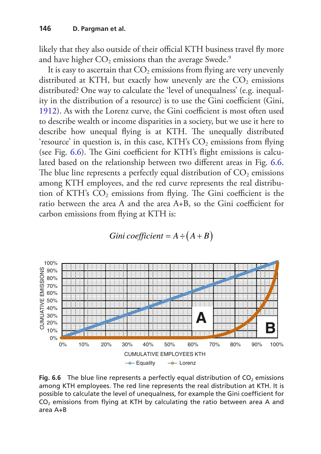likely that they also outside of their official KTH business travel fly more and have higher  $CO<sub>2</sub>$  emissions than the average Swede.<sup>[9](#page-21-5)</sup>

It is easy to ascertain that  $CO<sub>2</sub>$  emissions from flying are very unevenly distributed at KTH, but exactly how unevenly are the  $CO<sub>2</sub>$  emissions distributed? One way to calculate the 'level of unequalness' (e.g. inequality in the distribution of a resource) is to use the Gini coefficient (Gini, [1912](#page-22-8)). As with the Lorenz curve, the Gini coefficient is most often used to describe wealth or income disparities in a society, but we use it here to describe how unequal flying is at KTH. The unequally distributed 'resource' in question is, in this case, KTH's  $CO<sub>2</sub>$  emissions from flying (see Fig.  $6.6$ ). The Gini coefficient for KTH's flight emissions is calculated based on the relationship between two diferent areas in Fig. [6.6](#page-13-0). The blue line represents a perfectly equal distribution of  $CO<sub>2</sub>$  emissions among KTH employees, and the red curve represents the real distribution of KTH's  $CO<sub>2</sub>$  emissions from flying. The Gini coefficient is the ratio between the area A and the area A+B, so the Gini coefficient for carbon emissions from fying at KTH is:

Gini coefficient = 
$$
A \div (A + B)
$$

<span id="page-13-0"></span>

**Fig. 6.6** The blue line represents a perfectly equal distribution of  $CO<sub>2</sub>$  emissions among KTH employees. The red line represents the real distribution at KTH. It is possible to calculate the level of unequalness, for example the Gini coeffcient for  $CO<sub>2</sub>$  emissions from flying at KTH by calculating the ratio between area A and area A+B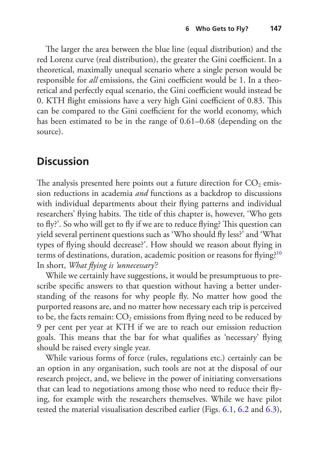The larger the area between the blue line (equal distribution) and the red Lorenz curve (real distribution), the greater the Gini coefficient. In a theoretical, maximally unequal scenario where a single person would be responsible for *all* emissions, the Gini coefficient would be 1. In a theoretical and perfectly equal scenario, the Gini coefficient would instead be 0. KTH flight emissions have a very high Gini coefficient of 0.83. This can be compared to the Gini coefficient for the world economy, which has been estimated to be in the range of 0.61–0.68 (depending on the source).

## **Discussion**

The analysis presented here points out a future direction for  $CO<sub>2</sub>$  emission reductions in academia *and* functions as a backdrop to discussions with individual departments about their fying patterns and individual researchers' flying habits. The title of this chapter is, however, 'Who gets to fly?'. So who will get to fly if we are to reduce flying? This question can yield several pertinent questions such as 'Who should fy less?' and 'What types of fying should decrease?'. How should we reason about fying in terms of destinations, duration, academic position or reasons for flying?<sup>[10](#page-21-6)</sup> In short, *What fying is 'unnecessary'?*

While we certainly have suggestions, it would be presumptuous to prescribe specifc answers to that question without having a better understanding of the reasons for why people fy. No matter how good the purported reasons are, and no matter how necessary each trip is perceived to be, the facts remain:  $CO<sub>2</sub>$  emissions from flying need to be reduced by 9 per cent per year at KTH if we are to reach our emission reduction goals. This means that the bar for what qualifies as 'necessary' flying should be raised every single year.

While various forms of force (rules, regulations etc.) certainly can be an option in any organisation, such tools are not at the disposal of our research project, and, we believe in the power of initiating conversations that can lead to negotiations among those who need to reduce their fying, for example with the researchers themselves. While we have pilot tested the material visualisation described earlier (Figs. [6.1](#page-7-0), [6.2](#page-8-0) and [6.3\)](#page-9-0),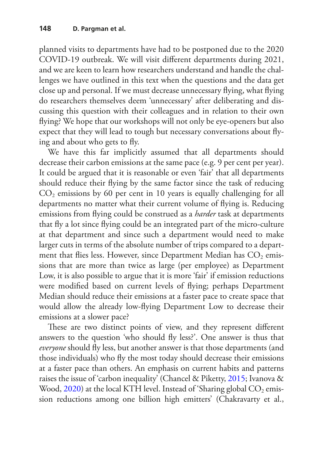planned visits to departments have had to be postponed due to the 2020 COVID-19 outbreak. We will visit diferent departments during 2021, and we are keen to learn how researchers understand and handle the challenges we have outlined in this text when the questions and the data get close up and personal. If we must decrease unnecessary fying, what fying do researchers themselves deem 'unnecessary' after deliberating and discussing this question with their colleagues and in relation to their own fying? We hope that our workshops will not only be eye-openers but also expect that they will lead to tough but necessary conversations about fying and about who gets to fy.

We have this far implicitly assumed that all departments should decrease their carbon emissions at the same pace (e.g. 9 per cent per year). It could be argued that it is reasonable or even 'fair' that all departments should reduce their fying by the same factor since the task of reducing  $CO<sub>2</sub>$  emissions by 60 per cent in 10 years is equally challenging for all departments no matter what their current volume of fying is. Reducing emissions from fying could be construed as a *harder* task at departments that fy a lot since fying could be an integrated part of the micro-culture at that department and since such a department would need to make larger cuts in terms of the absolute number of trips compared to a department that flies less. However, since Department Median has  $CO<sub>2</sub>$  emissions that are more than twice as large (per employee) as Department Low, it is also possible to argue that it is more 'fair' if emission reductions were modifed based on current levels of fying; perhaps Department Median should reduce their emissions at a faster pace to create space that would allow the already low-fying Department Low to decrease their emissions at a slower pace?

These are two distinct points of view, and they represent different answers to the question 'who should fy less?'. One answer is thus that *everyone* should fy less, but another answer is that those departments (and those individuals) who fy the most today should decrease their emissions at a faster pace than others. An emphasis on current habits and patterns raises the issue of 'carbon inequality' (Chancel & Piketty, [2015;](#page-22-2) Ivanova & Wood,  $2020$ ) at the local KTH level. Instead of 'Sharing global  $CO<sub>2</sub>$  emission reductions among one billion high emitters' (Chakravarty et al.,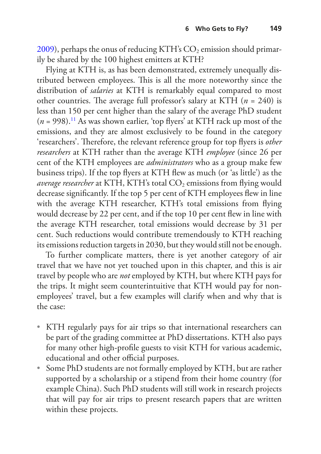[2009\)](#page-22-9), perhaps the onus of reducing KTH's  $CO<sub>2</sub>$  emission should primarily be shared by the 100 highest emitters at KTH?

Flying at KTH is, as has been demonstrated, extremely unequally distributed between employees. This is all the more noteworthy since the distribution of *salaries* at KTH is remarkably equal compared to most other countries. The average full professor's salary at KTH  $(n = 240)$  is less than 150 per cent higher than the salary of the average PhD student  $(n = 998).$ <sup>11</sup> As was shown earlier, 'top flyers' at KTH rack up most of the emissions, and they are almost exclusively to be found in the category 'researchers'. Therefore, the relevant reference group for top flyers is *other researchers* at KTH rather than the average KTH *employee* (since 26 per cent of the KTH employees are *administrators* who as a group make few business trips). If the top fyers at KTH few as much (or 'as little') as the *average researcher* at KTH, KTH's total CO<sub>2</sub> emissions from flying would decrease signifcantly. If the top 5 per cent of KTH employees few in line with the average KTH researcher, KTH's total emissions from fying would decrease by 22 per cent, and if the top 10 per cent few in line with the average KTH researcher, total emissions would decrease by 31 per cent. Such reductions would contribute tremendously to KTH reaching its emissions reduction targets in 2030, but they would still not be enough.

To further complicate matters, there is yet another category of air travel that we have not yet touched upon in this chapter, and this is air travel by people who are *not* employed by KTH, but where KTH pays for the trips. It might seem counterintuitive that KTH would pay for nonemployees' travel, but a few examples will clarify when and why that is the case:

- KTH regularly pays for air trips so that international researchers can be part of the grading committee at PhD dissertations. KTH also pays for many other high-profle guests to visit KTH for various academic, educational and other official purposes.
- Some PhD students are not formally employed by KTH, but are rather supported by a scholarship or a stipend from their home country (for example China). Such PhD students will still work in research projects that will pay for air trips to present research papers that are written within these projects.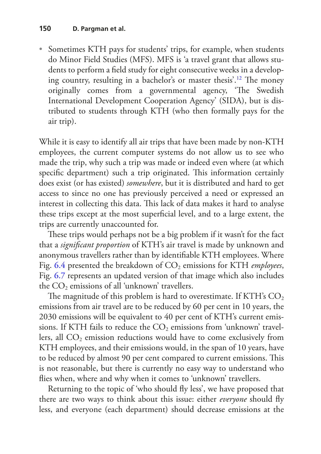• Sometimes KTH pays for students' trips, for example, when students do Minor Field Studies (MFS). MFS is 'a travel grant that allows students to perform a feld study for eight consecutive weeks in a developing country, resulting in a bachelor's or master thesis'.<sup>12</sup> The money originally comes from a governmental agency, 'The Swedish International Development Cooperation Agency' (SIDA), but is distributed to students through KTH (who then formally pays for the air trip).

While it is easy to identify all air trips that have been made by non-KTH employees, the current computer systems do not allow us to see who made the trip, why such a trip was made or indeed even where (at which specific department) such a trip originated. This information certainly does exist (or has existed) *somewhere*, but it is distributed and hard to get access to since no one has previously perceived a need or expressed an interest in collecting this data. This lack of data makes it hard to analyse these trips except at the most superficial level, and to a large extent, the trips are currently unaccounted for.

These trips would perhaps not be a big problem if it wasn't for the fact that a *signifcant proportion* of KTH's air travel is made by unknown and anonymous travellers rather than by identifable KTH employees. Where Fig. [6.4](#page-11-0) presented the breakdown of CO<sub>2</sub> emissions for KTH *employees*, Fig. [6.7](#page-18-0) represents an updated version of that image which also includes the  $CO<sub>2</sub>$  emissions of all 'unknown' travellers.

The magnitude of this problem is hard to overestimate. If KTH's  $CO<sub>2</sub>$ emissions from air travel are to be reduced by 60 per cent in 10 years, the 2030 emissions will be equivalent to 40 per cent of KTH's current emissions. If KTH fails to reduce the  $CO<sub>2</sub>$  emissions from 'unknown' travellers, all  $CO<sub>2</sub>$  emission reductions would have to come exclusively from KTH employees, and their emissions would, in the span of 10 years, have to be reduced by almost 90 per cent compared to current emissions. This is not reasonable, but there is currently no easy way to understand who fies when, where and why when it comes to 'unknown' travellers.

Returning to the topic of 'who should fy less', we have proposed that there are two ways to think about this issue: either *everyone* should fy less, and everyone (each department) should decrease emissions at the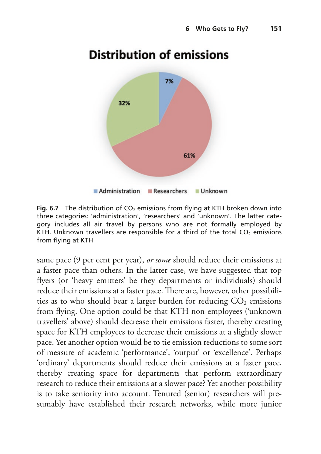

# <span id="page-18-0"></span>**Distribution of emissions**

**Fig. 6.7** The distribution of CO<sub>2</sub> emissions from flying at KTH broken down into three categories: 'administration', 'researchers' and 'unknown'. The latter category includes all air travel by persons who are not formally employed by KTH. Unknown travellers are responsible for a third of the total  $CO<sub>2</sub>$  emissions from flying at KTH

same pace (9 per cent per year), *or some* should reduce their emissions at a faster pace than others. In the latter case, we have suggested that top fyers (or 'heavy emitters' be they departments or individuals) should reduce their emissions at a faster pace. There are, however, other possibilities as to who should bear a larger burden for reducing  $CO<sub>2</sub>$  emissions from fying. One option could be that KTH non-employees ('unknown travellers' above) should decrease their emissions faster, thereby creating space for KTH employees to decrease their emissions at a slightly slower pace. Yet another option would be to tie emission reductions to some sort of measure of academic 'performance', 'output' or 'excellence'. Perhaps 'ordinary' departments should reduce their emissions at a faster pace, thereby creating space for departments that perform extraordinary research to reduce their emissions at a slower pace? Yet another possibility is to take seniority into account. Tenured (senior) researchers will presumably have established their research networks, while more junior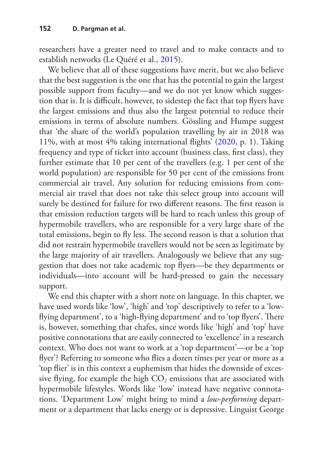researchers have a greater need to travel and to make contacts and to establish networks (Le Quéré et al., [2015\)](#page-23-0).

We believe that all of these suggestions have merit, but we also believe that the best suggestion is the one that has the potential to gain the largest possible support from faculty—and we do not yet know which suggestion that is. It is difficult, however, to sidestep the fact that top flyers have the largest emissions and thus also the largest potential to reduce their emissions in terms of absolute numbers. Gössling and Humpe suggest that 'the share of the world's population travelling by air in 2018 was 11%, with at most 4% taking international fights' ([2020,](#page-23-7) p. 1). Taking frequency and type of ticket into account (business class, frst class), they further estimate that 10 per cent of the travellers (e.g. 1 per cent of the world population) are responsible for 50 per cent of the emissions from commercial air travel. Any solution for reducing emissions from commercial air travel that does not take this select group into account will surely be destined for failure for two different reasons. The first reason is that emission reduction targets will be hard to reach unless this group of hypermobile travellers, who are responsible for a very large share of the total emissions, begin to fly less. The second reason is that a solution that did not restrain hypermobile travellers would not be seen as legitimate by the large majority of air travellers. Analogously we believe that any suggestion that does not take academic top fyers—be they departments or individuals—into account will be hard-pressed to gain the necessary support.

We end this chapter with a short note on language. In this chapter, we have used words like 'low', 'high' and 'top' descriptively to refer to a 'lowflying department', to a 'high-flying department' and to 'top flyers'. There is, however, something that chafes, since words like 'high' and 'top' have positive connotations that are easily connected to 'excellence' in a research context. Who does not want to work at a 'top department'—or be a 'top fyer'? Referring to someone who fies a dozen times per year or more as a 'top fier' is in this context a euphemism that hides the downside of excessive flying, for example the high  $CO<sub>2</sub>$  emissions that are associated with hypermobile lifestyles. Words like 'low' instead have negative connotations. 'Department Low' might bring to mind a *low-performing* department or a department that lacks energy or is depressive. Linguist George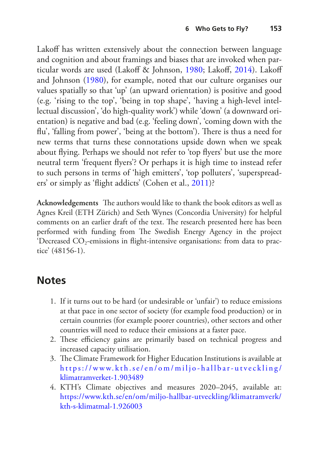Lakoff has written extensively about the connection between language and cognition and about framings and biases that are invoked when par-ticular words are used (Lakoff & Johnson, [1980](#page-23-10); Lakoff, [2014\)](#page-23-11). Lakoff and Johnson [\(1980](#page-23-10)), for example, noted that our culture organises our values spatially so that 'up' (an upward orientation) is positive and good (e.g. 'rising to the top', 'being in top shape', 'having a high-level intellectual discussion', 'do high-quality work') while 'down' (a downward orientation) is negative and bad (e.g. 'feeling down', 'coming down with the flu', 'falling from power', 'being at the bottom'). There is thus a need for new terms that turns these connotations upside down when we speak about fying. Perhaps we should not refer to 'top fyers' but use the more neutral term 'frequent fyers'? Or perhaps it is high time to instead refer to such persons in terms of 'high emitters', 'top polluters', 'superspreaders' or simply as 'fight addicts' (Cohen et al., [2011](#page-22-10))?

Acknowledgements The authors would like to thank the book editors as well as Agnes Kreil (ETH Zürich) and Seth Wynes (Concordia University) for helpful comments on an earlier draft of the text. The research presented here has been performed with funding from The Swedish Energy Agency in the project 'Decreased  $CO<sub>2</sub>$ -emissions in flight-intensive organisations: from data to practice' (48156-1).

### **Notes**

- <span id="page-20-0"></span>1. If it turns out to be hard (or undesirable or 'unfair') to reduce emissions at that pace in one sector of society (for example food production) or in certain countries (for example poorer countries), other sectors and other countries will need to reduce their emissions at a faster pace.
- <span id="page-20-1"></span>2. These efficiency gains are primarily based on technical progress and increased capacity utilisation.
- <span id="page-20-2"></span>3. The Climate Framework for Higher Education Institutions is available at [https://www.kth.se/en/om/miljo-](https://www.kth.se/en/om/miljo-hallbar-utveckling/klimatramverket-1.903489) hallbar- utveckling/ [klimatramverket-1.903489](https://www.kth.se/en/om/miljo-hallbar-utveckling/klimatramverket-1.903489)
- <span id="page-20-3"></span>4. KTH's Climate objectives and measures 2020–2045, available at: [https://www.kth.se/en/om/miljo-hallbar-utveckling/klimatramverk/](https://www.kth.se/en/om/miljo-hallbar-utveckling/klimatramverk/kth-s-klimatmal-1.926003) [kth-s-klimatmal-1.926003](https://www.kth.se/en/om/miljo-hallbar-utveckling/klimatramverk/kth-s-klimatmal-1.926003)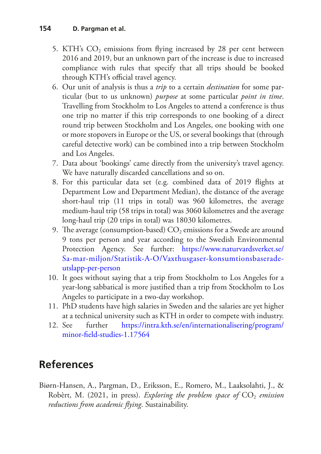- <span id="page-21-0"></span>5. KTH's  $CO<sub>2</sub>$  emissions from flying increased by 28 per cent between 2016 and 2019, but an unknown part of the increase is due to increased compliance with rules that specify that all trips should be booked through KTH's official travel agency.
- <span id="page-21-2"></span>6. Our unit of analysis is thus a *trip* to a certain *destination* for some particular (but to us unknown) *purpose* at some particular *point in time*. Travelling from Stockholm to Los Angeles to attend a conference is thus one trip no matter if this trip corresponds to one booking of a direct round trip between Stockholm and Los Angeles, one booking with one or more stopovers in Europe or the US, or several bookings that (through careful detective work) can be combined into a trip between Stockholm and Los Angeles.
- <span id="page-21-3"></span>7. Data about 'bookings' came directly from the university's travel agency. We have naturally discarded cancellations and so on.
- <span id="page-21-4"></span>8. For this particular data set (e.g. combined data of 2019 fights at Department Low and Department Median), the distance of the average short-haul trip (11 trips in total) was 960 kilometres, the average medium-haul trip (58 trips in total) was 3060 kilometres and the average long-haul trip (20 trips in total) was 18030 kilometres.
- <span id="page-21-5"></span>9. The average (consumption-based)  $CO<sub>2</sub>$  emissions for a Swede are around 9 tons per person and year according to the Swedish Environmental Protection Agency. See further: [https://www.naturvardsverket.se/](https://www.naturvardsverket.se/Sa-mar-miljon/Statistik-A-O/Vaxthusgaser-konsumtionsbaserade-utslapp-per-person) [Sa-mar-miljon/Statistik-A-O/Vaxthusgaser-konsumtionsbaserade](https://www.naturvardsverket.se/Sa-mar-miljon/Statistik-A-O/Vaxthusgaser-konsumtionsbaserade-utslapp-per-person)[utslapp-per-person](https://www.naturvardsverket.se/Sa-mar-miljon/Statistik-A-O/Vaxthusgaser-konsumtionsbaserade-utslapp-per-person)
- <span id="page-21-6"></span>10. It goes without saying that a trip from Stockholm to Los Angeles for a year-long sabbatical is more justifed than a trip from Stockholm to Los Angeles to participate in a two-day workshop.
- <span id="page-21-7"></span>11. PhD students have high salaries in Sweden and the salaries are yet higher at a technical university such as KTH in order to compete with industry.
- <span id="page-21-8"></span>12. See further [https://intra.kth.se/en/internationalisering/program/](https://intra.kth.se/en/internationalisering/program/minor-field-studies-1.17564) [minor-feld-studies-1.17564](https://intra.kth.se/en/internationalisering/program/minor-field-studies-1.17564)

# **References**

<span id="page-21-1"></span>Biørn-Hansen, A., Pargman, D., Eriksson, E., Romero, M., Laaksolahti, J., & Robèrt, M. (2021, in press). *Exploring the problem space of*  $CO<sub>2</sub>$  *emission reductions from academic fying*. Sustainability.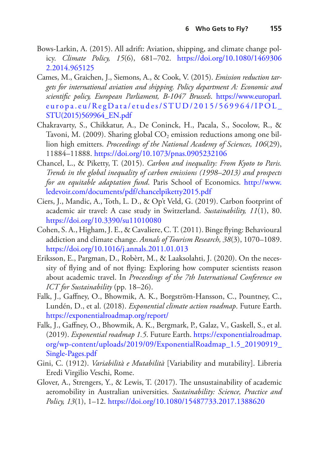- <span id="page-22-5"></span>Bows-Larkin, A. (2015). All adrift: Aviation, shipping, and climate change policy. *Climate Policy, 15*(6), 681–702. [https://doi.org/10.1080/1469306](https://doi.org/10.1080/14693062.2014.965125) [2.2014.965125](https://doi.org/10.1080/14693062.2014.965125)
- <span id="page-22-6"></span>Cames, M., Graichen, J., Siemons, A., & Cook, V. (2015). *Emission reduction targets for international aviation and shipping. Policy department A: Economic and scientifc policy, European Parliament, B-1047 Brussels*. [https://www.europarl.](https://www.europarl.europa.eu/RegData/etudes/STUD/2015/569964/IPOL_STU(2015)569964_EN.pdf) [europa.eu/RegData/etudes/STUD/2015/569964/IPOL\\_](https://www.europarl.europa.eu/RegData/etudes/STUD/2015/569964/IPOL_STU(2015)569964_EN.pdf) [STU\(2015\)569964\\_EN.pdf](https://www.europarl.europa.eu/RegData/etudes/STUD/2015/569964/IPOL_STU(2015)569964_EN.pdf)
- <span id="page-22-9"></span>Chakravarty, S., Chikkatur, A., De Coninck, H., Pacala, S., Socolow, R., & Tavoni, M. (2009). Sharing global  $CO<sub>2</sub>$  emission reductions among one billion high emitters. *Proceedings of the National Academy of Sciences, 106*(29), 11884–11888.<https://doi.org/10.1073/pnas.0905232106>
- <span id="page-22-2"></span>Chancel, L., & Piketty, T. (2015). *Carbon and inequality: From Kyoto to Paris. Trends in the global inequality of carbon emissions (1998–2013) and prospects for an equitable adaptation fund*. Paris School of Economics. [http://www.](http://www.ledevoir.com/documents/pdf/chancelpiketty2015.pdf) [ledevoir.com/documents/pdf/chancelpiketty2015.pdf](http://www.ledevoir.com/documents/pdf/chancelpiketty2015.pdf)
- <span id="page-22-7"></span>Ciers, J., Mandic, A., Toth, L. D., & Op't Veld, G. (2019). Carbon footprint of academic air travel: A case study in Switzerland. *Sustainability, 11*(1), 80. <https://doi.org/10.3390/su11010080>
- <span id="page-22-10"></span>Cohen, S. A., Higham, J. E., & Cavaliere, C. T. (2011). Binge fying: Behavioural addiction and climate change. *Annals of Tourism Research, 38*(3), 1070–1089. <https://doi.org/10.1016/j.annals.2011.01.013>
- <span id="page-22-4"></span>Eriksson, E., Pargman, D., Robèrt, M., & Laaksolahti, J. (2020). On the necessity of fying and of not fying: Exploring how computer scientists reason about academic travel. In *Proceedings of the 7th International Conference on ICT for Sustainability* (pp. 18–26).
- <span id="page-22-0"></span>Falk, J., Gafney, O., Bhowmik, A. K., Borgström-Hansson, C., Pountney, C., Lundén, D., et al. (2018). *Exponential climate action roadmap*. Future Earth. <https://exponentialroadmap.org/report/>
- <span id="page-22-1"></span>Falk, J., Gafney, O., Bhowmik, A. K., Bergmark, P., Galaz, V., Gaskell, S., et al. (2019). *Exponential roadmap 1.5*. Future Earth. [https://exponentialroadmap.](https://exponentialroadmap.org/wp-content/uploads/2019/09/ExponentialRoadmap_1.5_20190919_Single-Pages.pdf) [org/wp-content/uploads/2019/09/ExponentialRoadmap\\_1.5\\_20190919\\_](https://exponentialroadmap.org/wp-content/uploads/2019/09/ExponentialRoadmap_1.5_20190919_Single-Pages.pdf) [Single-Pages.pdf](https://exponentialroadmap.org/wp-content/uploads/2019/09/ExponentialRoadmap_1.5_20190919_Single-Pages.pdf)
- <span id="page-22-8"></span>Gini, C. (1912). *Variabilità e Mutabilità* [Variability and mutability]. Libreria Eredi Virgilio Veschi, Rome.
- <span id="page-22-3"></span>Glover, A., Strengers, Y., & Lewis, T. (2017). The unsustainability of academic aeromobility in Australian universities. *Sustainability: Science, Practice and Policy, 13*(1), 1–12.<https://doi.org/10.1080/15487733.2017.1388620>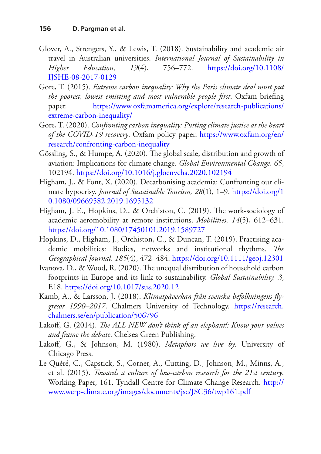- <span id="page-23-5"></span>Glover, A., Strengers, Y., & Lewis, T. (2018). Sustainability and academic air travel in Australian universities. *International Journal of Sustainability in Higher Education, 19*(4), 756–772. [https://doi.org/10.1108/](https://doi.org/10.1108/IJSHE-08-2017-0129) [IJSHE-08-2017-0129](https://doi.org/10.1108/IJSHE-08-2017-0129)
- <span id="page-23-1"></span>Gore, T. (2015). *Extreme carbon inequality: Why the Paris climate deal must put the poorest, lowest emitting and most vulnerable people frst*. Oxfam briefng paper. [https://www.oxfamamerica.org/explore/research-publications/](https://www.oxfamamerica.org/explore/research-publications/extreme-carbon-inequality/) [extreme-carbon-inequality/](https://www.oxfamamerica.org/explore/research-publications/extreme-carbon-inequality/)
- <span id="page-23-2"></span>Gore, T. (2020). *Confronting carbon inequality: Putting climate justice at the heart of the COVID-19 recovery*. Oxfam policy paper. [https://www.oxfam.org/en/](https://www.oxfam.org/en/research/confronting-carbon-inequality) [research/confronting-carbon-inequality](https://www.oxfam.org/en/research/confronting-carbon-inequality)
- <span id="page-23-7"></span>Gössling, S., & Humpe, A. (2020). The global scale, distribution and growth of aviation: Implications for climate change. *Global Environmental Change, 65*, 102194. <https://doi.org/10.1016/j.gloenvcha.2020.102194>
- <span id="page-23-3"></span>Higham, J., & Font, X. (2020). Decarbonising academia: Confronting our climate hypocrisy. *Journal of Sustainable Tourism, 28*(1), 1–9. [https://doi.org/1](https://doi.org/10.1080/09669582.2019.1695132) [0.1080/09669582.2019.1695132](https://doi.org/10.1080/09669582.2019.1695132)
- <span id="page-23-6"></span>Higham, J. E., Hopkins, D., & Orchiston, C. (2019). The work-sociology of academic aeromobility at remote institutions. *Mobilities, 14*(5), 612–631. <https://doi.org/10.1080/17450101.2019.1589727>
- <span id="page-23-4"></span>Hopkins, D., Higham, J., Orchiston, C., & Duncan, T. (2019). Practising academic mobilities: Bodies, networks and institutional rhythms. The *Geographical Journal, 185*(4), 472–484.<https://doi.org/10.1111/geoj.12301>
- <span id="page-23-9"></span>Ivanova, D., & Wood, R. (2020). The unequal distribution of household carbon footprints in Europe and its link to sustainability. *Global Sustainability, 3*, E18. <https://doi.org/10.1017/sus.2020.12>
- <span id="page-23-8"></span>Kamb, A., & Larsson, J. (2018). *Klimatpåverkan från svenska befolkningens fygresor 1990–2017*. Chalmers University of Technology. [https://research.](https://research.chalmers.se/en/publication/506796) [chalmers.se/en/publication/506796](https://research.chalmers.se/en/publication/506796)
- <span id="page-23-11"></span>Lakoff, G. (2014). *The ALL NEW don't think of an elephant!: Know your values and frame the debate*. Chelsea Green Publishing.
- <span id="page-23-10"></span>Lakof, G., & Johnson, M. (1980). *Metaphors we live by*. University of Chicago Press.
- <span id="page-23-0"></span>Le Quéré, C., Capstick, S., Corner, A., Cutting, D., Johnson, M., Minns, A., et al. (2015). *Towards a culture of low-carbon research for the 21st century*. Working Paper, 161. Tyndall Centre for Climate Change Research. [http://](http://www.wcrp-climate.org/images/documents/jsc/JSC36/twp161.pdf) [www.wcrp-climate.org/images/documents/jsc/JSC36/twp161.pdf](http://www.wcrp-climate.org/images/documents/jsc/JSC36/twp161.pdf)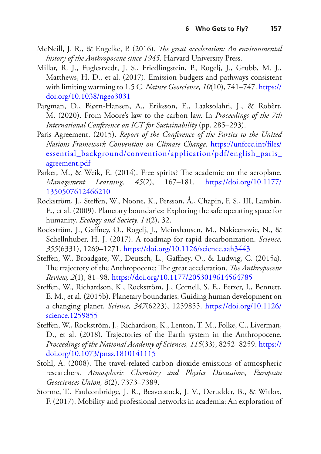- <span id="page-24-0"></span>McNeill, J. R., & Engelke, P. (2016). *The great acceleration: An environmental history of the Anthropocene since 1945*. Harvard University Press.
- <span id="page-24-6"></span>Millar, R. J., Fuglestvedt, J. S., Friedlingstein, P., Rogelj, J., Grubb, M. J., Matthews, H. D., et al. (2017). Emission budgets and pathways consistent with limiting warming to 1.5 C. *Nature Geoscience, 10*(10), 741–747. [https://](https://doi.org/10.1038/ngeo3031) [doi.org/10.1038/ngeo3031](https://doi.org/10.1038/ngeo3031)
- <span id="page-24-10"></span>Pargman, D., Biørn-Hansen, A., Eriksson, E., Laaksolahti, J., & Robèrt, M. (2020). From Moore's law to the carbon law. In *Proceedings of the 7th International Conference on ICT for Sustainability* (pp. 285–293).
- <span id="page-24-4"></span>Paris Agreement. (2015). *Report of the Conference of the Parties to the United Nations Framework Convention on Climate Change*. [https://unfccc.int/fles/](https://unfccc.int/files/essential_background/convention/application/pdf/english_paris_agreement.pdf) [essential\\_background/convention/application/pdf/english\\_paris\\_](https://unfccc.int/files/essential_background/convention/application/pdf/english_paris_agreement.pdf) [agreement.pdf](https://unfccc.int/files/essential_background/convention/application/pdf/english_paris_agreement.pdf)
- <span id="page-24-8"></span>Parker, M., & Weik, E. (2014). Free spirits? The academic on the aeroplane. *Management Learning, 45*(2), 167–181. [https://doi.org/10.1177/](https://doi.org/10.1177/1350507612466210) [1350507612466210](https://doi.org/10.1177/1350507612466210)
- <span id="page-24-2"></span>Rockström, J., Stefen, W., Noone, K., Persson, Å., Chapin, F. S., III, Lambin, E., et al. (2009). Planetary boundaries: Exploring the safe operating space for humanity. *Ecology and Society, 14*(2), 32.
- <span id="page-24-7"></span>Rockström, J., Gafney, O., Rogelj, J., Meinshausen, M., Nakicenovic, N., & Schellnhuber, H. J. (2017). A roadmap for rapid decarbonization. *Science, 355*(6331), 1269–1271.<https://doi.org/10.1126/science.aah3443>
- <span id="page-24-1"></span>Steffen, W., Broadgate, W., Deutsch, L., Gaffney, O., & Ludwig, C. (2015a). The trajectory of the Anthropocene: The great acceleration. *The Anthropocene Review, 2*(1), 81–98.<https://doi.org/10.1177/2053019614564785>
- <span id="page-24-3"></span>Steffen, W., Richardson, K., Rockström, J., Cornell, S. E., Fetzer, I., Bennett, E. M., et al. (2015b). Planetary boundaries: Guiding human development on a changing planet. *Science, 347*(6223), 1259855. [https://doi.org/10.1126/](https://doi.org/10.1126/science.1259855) [science.1259855](https://doi.org/10.1126/science.1259855)
- <span id="page-24-5"></span>Steffen, W., Rockström, J., Richardson, K., Lenton, T. M., Folke, C., Liverman, D., et al. (2018). Trajectories of the Earth system in the Anthropocene. *Proceedings of the National Academy of Sciences, 115*(33), 8252–8259. [https://](https://doi.org/10.1073/pnas.1810141115) [doi.org/10.1073/pnas.1810141115](https://doi.org/10.1073/pnas.1810141115)
- <span id="page-24-11"></span>Stohl, A. (2008). The travel-related carbon dioxide emissions of atmospheric researchers. *Atmospheric Chemistry and Physics Discussions, European Geosciences Union, 8*(2), 7373–7389.
- <span id="page-24-9"></span>Storme, T., Faulconbridge, J. R., Beaverstock, J. V., Derudder, B., & Witlox, F. (2017). Mobility and professional networks in academia: An exploration of